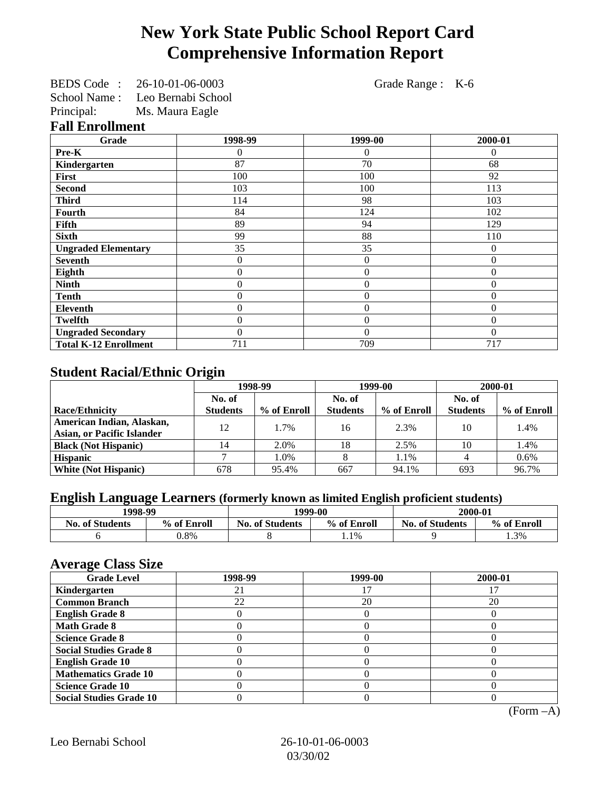# **New York State Public School Report Card Comprehensive Information Report**

BEDS Code : 26-10-01-06-0003 Grade Range : K-6 School Name : Leo Bernabi School

Principal: Ms. Maura Eagle

#### **Fall Enrollment**

| Grade                        | 1998-99          | 1999-00        | 2000-01  |
|------------------------------|------------------|----------------|----------|
| Pre-K                        | 0                | $\Omega$       | $\Omega$ |
| Kindergarten                 | 87               | 70             | 68       |
| First                        | 100              | 100            | 92       |
| <b>Second</b>                | 103              | 100            | 113      |
| <b>Third</b>                 | 114              | 98             | 103      |
| Fourth                       | 84               | 124            | 102      |
| Fifth                        | 89               | 94             | 129      |
| <b>Sixth</b>                 | 99               | 88             | 110      |
| <b>Ungraded Elementary</b>   | 35               | 35             | $\Omega$ |
| <b>Seventh</b>               | $\mathbf{0}$     | $\theta$       | $\theta$ |
| Eighth                       | $\boldsymbol{0}$ | $\overline{0}$ | $\Omega$ |
| <b>Ninth</b>                 | $\boldsymbol{0}$ | $\overline{0}$ | $\Omega$ |
| <b>Tenth</b>                 | $\mathbf{0}$     | $\overline{0}$ | $\Omega$ |
| <b>Eleventh</b>              | $\boldsymbol{0}$ | $\overline{0}$ | $\Omega$ |
| <b>Twelfth</b>               | $\boldsymbol{0}$ | $\overline{0}$ | $\Omega$ |
| <b>Ungraded Secondary</b>    | $\Omega$         | $\theta$       | $\Omega$ |
| <b>Total K-12 Enrollment</b> | 711              | 709            | 717      |

## **Student Racial/Ethnic Origin**

|                                   | 1998-99         |             | 1999-00         |             | 2000-01         |             |
|-----------------------------------|-----------------|-------------|-----------------|-------------|-----------------|-------------|
|                                   | No. of          |             | No. of          |             | No. of          |             |
| <b>Race/Ethnicity</b>             | <b>Students</b> | % of Enroll | <b>Students</b> | % of Enroll | <b>Students</b> | % of Enroll |
| American Indian, Alaskan,         | 12              | 1.7%        | 16              | 2.3%        | 10              | 1.4%        |
| <b>Asian, or Pacific Islander</b> |                 |             |                 |             |                 |             |
| <b>Black (Not Hispanic)</b>       | 14              | 2.0%        | 18              | 2.5%        | 10              | 1.4%        |
| <b>Hispanic</b>                   |                 | 1.0%        |                 | 1.1%        |                 | $0.6\%$     |
| <b>White (Not Hispanic)</b>       | 678             | 95.4%       | 667             | 94.1%       | 693             | 96.7%       |

# **English Language Learners (formerly known as limited English proficient students)**

| 1998-99                |             | 1999-00                |             | 2000-01                |             |
|------------------------|-------------|------------------------|-------------|------------------------|-------------|
| <b>No. of Students</b> | % of Enroll | <b>No. of Students</b> | % of Enroll | <b>No. of Students</b> | % of Enroll |
|                        | ).8%        |                        | 1.1%        |                        | .3%         |

#### **Average Class Size**

| ---- <del>-</del> --<br><b>Grade Level</b> | 1998-99 | 1999-00 | 2000-01 |
|--------------------------------------------|---------|---------|---------|
| Kindergarten                               |         |         |         |
| <b>Common Branch</b>                       | 22      | 20      | 20      |
| <b>English Grade 8</b>                     |         |         |         |
| <b>Math Grade 8</b>                        |         |         |         |
| <b>Science Grade 8</b>                     |         |         |         |
| <b>Social Studies Grade 8</b>              |         |         |         |
| <b>English Grade 10</b>                    |         |         |         |
| <b>Mathematics Grade 10</b>                |         |         |         |
| <b>Science Grade 10</b>                    |         |         |         |
| <b>Social Studies Grade 10</b>             |         |         |         |

(Form –A)